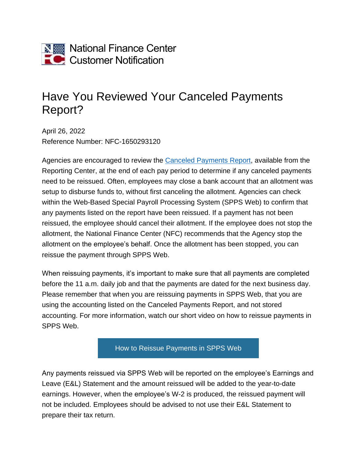

## Have You Reviewed Your Canceled Payments Report?

April 26, 2022 Reference Number: NFC-1650293120

Agencies are encouraged to review the [Canceled Payments Report,](https://help.nfc.usda.gov/publications/rpct/63121.htm) available from the Reporting Center, at the end of each pay period to determine if any canceled payments need to be reissued. Often, employees may close a bank account that an allotment was setup to disburse funds to, without first canceling the allotment. Agencies can check within the Web-Based Special Payroll Processing System (SPPS Web) to confirm that any payments listed on the report have been reissued. If a payment has not been reissued, the employee should cancel their allotment. If the employee does not stop the allotment, the National Finance Center (NFC) recommends that the Agency stop the allotment on the employee's behalf. Once the allotment has been stopped, you can reissue the payment through SPPS Web.

When reissuing payments, it's important to make sure that all payments are completed before the 11 a.m. daily job and that the payments are dated for the next business day. Please remember that when you are reissuing payments in SPPS Web, that you are using the accounting listed on the Canceled Payments Report, and not stored accounting. For more information, watch our short video on how to reissue payments in SPPS Web.

[How to Reissue Payments in SPPS Web](https://nfc.usda.gov/training/Online/SPPSWEB/Courses/basic/canceled_payment.php)

Any payments reissued via SPPS Web will be reported on the employee's Earnings and Leave (E&L) Statement and the amount reissued will be added to the year-to-date earnings. However, when the employee's W-2 is produced, the reissued payment will not be included. Employees should be advised to not use their E&L Statement to prepare their tax return.